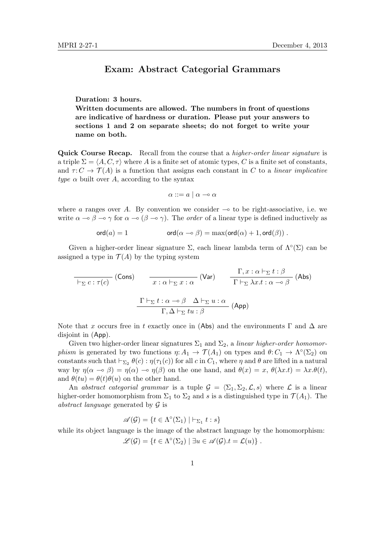#### Exam: Abstract Categorial Grammars

#### Duration: 3 hours.

Written documents are allowed. The numbers in front of questions are indicative of hardness or duration. Please put your answers to sections 1 and 2 on separate sheets; do not forget to write your name on both.

Quick Course Recap. Recall from the course that a *higher-order linear signature* is a triple  $\Sigma = \langle A, C, \tau \rangle$  where A is a finite set of atomic types, C is a finite set of constants, and  $\tau: C \to \mathcal{T}(A)$  is a function that assigns each constant in C to a linear implicative type  $\alpha$  built over A, according to the syntax

$$
\alpha ::= a \mid \alpha \multimap \alpha
$$

where a ranges over A. By convention we consider  $\sim$  to be right-associative, i.e. we write  $\alpha \to \beta \to \gamma$  for  $\alpha \to (\beta \to \gamma)$ . The *order* of a linear type is defined inductively as

$$
\text{ord}(a) = 1 \qquad \text{ord}(\alpha \multimap \beta) = \max(\text{ord}(\alpha) + 1, \text{ord}(\beta)) \ .
$$

Given a higher-order linear signature  $\Sigma$ , each linear lambda term of  $\Lambda^{\circ}(\Sigma)$  can be assigned a type in  $\mathcal{T}(A)$  by the typing system

$$
\frac{\Gamma, x : \alpha \vdash_{\Sigma} t : \beta}{\Gamma \vdash_{\Sigma} c : \tau(c)} \text{ (Cons)} \qquad \frac{\Gamma, x : \alpha \vdash_{\Sigma} t : \beta}{x : \alpha \vdash_{\Sigma} x : \alpha} \text{ (Var)} \qquad \frac{\Gamma, x : \alpha \vdash_{\Sigma} t : \beta}{\Gamma \vdash_{\Sigma} \lambda x. t : \alpha \multimap \beta} \text{ (Abs)} \qquad \frac{\Gamma \vdash_{\Sigma} t : \alpha \multimap \beta \quad \Delta \vdash_{\Sigma} u : \alpha}{\Gamma, \Delta \vdash_{\Sigma} tu : \beta} \text{ (App)}
$$

Note that x occurs free in t exactly once in (Abs) and the environments  $\Gamma$  and  $\Delta$  are disjoint in (App).

Given two higher-order linear signatures  $\Sigma_1$  and  $\Sigma_2$ , a linear higher-order homomorphism is generated by two functions  $\eta: A_1 \to \mathcal{T}(A_1)$  on types and  $\theta: C_1 \to \Lambda^{\circ}(\Sigma_2)$  on constants such that  $\vdash_{\Sigma_2} \theta(c) : \eta(\tau_1(c))$  for all c in  $C_1$ , where  $\eta$  and  $\theta$  are lifted in a natural way by  $\eta(\alpha \to \beta) = \eta(\alpha) \to \eta(\beta)$  on the one hand, and  $\theta(x) = x, \theta(\lambda x.t) = \lambda x.\theta(t)$ , and  $\theta(tu) = \theta(t)\theta(u)$  on the other hand.

An abstract categorial grammar is a tuple  $\mathcal{G} = \langle \Sigma_1, \Sigma_2, \mathcal{L}, s \rangle$  where  $\mathcal{L}$  is a linear higher-order homomorphism from  $\Sigma_1$  to  $\Sigma_2$  and s is a distinguished type in  $\mathcal{T}(A_1)$ . The abstract language generated by  $\mathcal G$  is

$$
\mathscr{A}(\mathcal{G}) = \{ t \in \Lambda^{\circ}(\Sigma_1) \mid \vdash_{\Sigma_1} t : s \}
$$

while its object language is the image of the abstract language by the homomorphism:

$$
\mathscr{L}(\mathcal{G}) = \{ t \in \Lambda^{\circ}(\Sigma_2) \mid \exists u \in \mathscr{A}(\mathcal{G}).t = \mathcal{L}(u) \}.
$$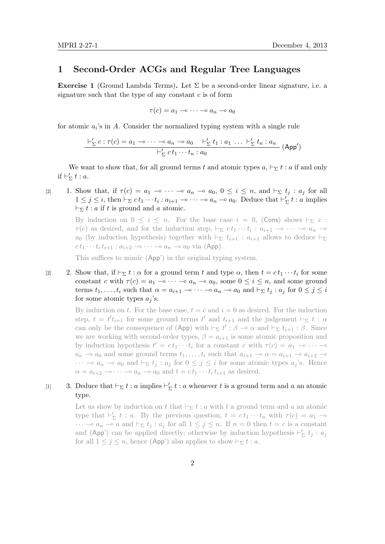### 1 Second-Order ACGs and Regular Tree Languages

Exercise 1 (Ground Lambda Terms). Let  $\Sigma$  be a second-order linear signature, i.e. a signature such that the type of any constant  $c$  is of form

$$
\tau(c) = a_1 \multimap \dots \multimap a_n \multimap a_0
$$

for atomic  $a_i$ 's in A. Consider the normalized typing system with a single rule

$$
\frac{\vdash'_{\Sigma} c : \tau(c) = a_1 \multimap \dots \multimap a_n \multimap a_0 \quad \vdash'_{\Sigma} t_1 : a_1 \dots \vdash'_{\Sigma} t_n : a_n}{\vdash'_{\Sigma} ct_1 \cdots t_n : a_0} \quad (\text{App}')
$$

We want to show that, for all ground terms t and atomic types  $a, \vdash_{\Sigma} t : a$  if and only if  $\vdash'_{\Sigma} t : a$ .

[2] 1. Show that, if  $\tau(c) = a_1 \multimap \cdots \multimap a_n \multimap a_0, 0 \leq i \leq n$ , and  $\vdash_{\Sigma} t_j : a_j$  for all  $1 \leq j \leq i$ , then  $\vdash_{\Sigma} ct_1 \cdots t_i : a_{i+1} \multimap \cdots \multimap a_n \multimap a_0$ . Deduce that  $\vdash'_{\Sigma} t : a$  implies  $\vdash_{\Sigma} t : a$  if t is ground and a atomic.

> By induction on  $0 \le i \le n$ . For the base case  $i = 0$ , (Cons) shows  $\vdash_{\Sigma} c$ :  $\tau(c)$  as desired, and for the induction step,  $\vdash_{\Sigma} ct_1 \cdots t_i : a_{i+1} \multimap \cdots \multimap a_n \multimap$  $a_0$  (by induction hypothesis) together with  $\vdash_{\Sigma} t_{i+1} : a_{i+1}$  allows to deduce  $\vdash_{\Sigma}$  $ct_1 \cdots t_i t_{i+1} : a_{i+2} \longrightarrow \cdots \longrightarrow a_n \longrightarrow a_0$  via (App).

This suffices to mimic (App') in the original typing system.

[2] 2. Show that, if  $\vdash_{\Sigma} t : \alpha$  for a ground term t and type  $\alpha$ , then  $t = ct_1 \cdots t_i$  for some constant c with  $\tau(c) = a_1 \to \cdots \to a_n \to a_0$ , some  $0 \leq i \leq n$ , and some ground terms  $t_1, \ldots, t_i$  such that  $\alpha = a_{i+1} \multimap \cdots \multimap a_n \multimap a_0$  and  $\vdash_{\Sigma} t_i : a_j$  for  $0 \leq j \leq i$ for some atomic types  $a_i$ 's.

> By induction on t. For the base case,  $t = c$  and  $i = 0$  as desired. For the induction step,  $t = t' t_{i+1}$  for some ground terms  $t'$  and  $t_{i+1}$  and the judgement  $\vdash_{\Sigma} t : \alpha$ can only be the consequence of (App) with  $\vdash_{\Sigma} t' : \beta \multimap \alpha$  and  $\vdash_{\Sigma} t_{i+1} : \beta$ . Since we are working with second-order types,  $\beta = a_{i+1}$  is some atomic proposition and by induction hypothesis  $t' = ct_1 \cdots t_i$  for a constant c with  $\tau(c) = a_1 \rightarrow \cdots$  $a_n \rightharpoonup a_0$  and some ground terms  $t_1, \ldots, t_i$  such that  $a_{i+1} \rightharpoonup \alpha = a_{i+1} \rightharpoonup a_{i+2} \rightharpoonup \alpha$  $\cdots \multimap a_n \multimap a_0$  and  $\vdash_{\Sigma} t_j : a_j$  for  $0 \leq j \leq i$  for some atomic types  $a_j$ 's. Hence  $\alpha = a_{i+2} \longrightarrow \cdots \longrightarrow a_n \longrightarrow a_0$  and  $t = ct_1 \cdots t_i t_{i+1}$  as desired.

## [1] 3. Deduce that  $\vdash_{\Sigma} t : a$  implies  $\vdash'_{\Sigma} t : a$  whenever t is a ground term and a an atomic type.

Let us show by induction on t that  $\vdash_{\Sigma} t : a$  with t a ground term and a an atomic type that  $\vdash'_{\Sigma} t : a$ . By the previous question,  $t = ct_1 \cdots t_n$  with  $\tau(c) = a_1 \rightarrow$  $\cdots \multimap a_n \multimap a$  and  $\vdash_{\Sigma} t_j : a_j$  for all  $1 \leq j \leq n$ . If  $n = 0$  then  $t = c$  is a constant and (App') can be applied directly; otherwise by induction hypothesis  $\vdash'_{\Sigma} t_j : a_j$ for all  $1 \leq j \leq n$ , hence (App') also applies to show  $\vdash_{\Sigma} t : a$ .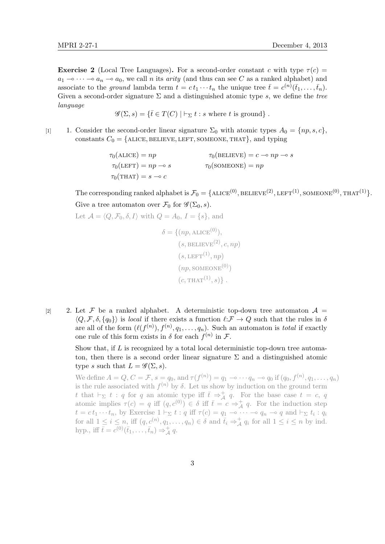**Exercise 2** (Local Tree Languages). For a second-order constant c with type  $\tau(c)$  =  $a_1 \rightarrow \cdots \rightarrow a_n \rightarrow a_0$ , we call n its arity (and thus can see C as a ranked alphabet) and associate to the ground lambda term  $t = ct_1 \cdots t_n$  the unique tree  $\bar{t} = c^{(n)}(\bar{t}_1, \ldots, \bar{t}_n)$ . Given a second-order signature  $\Sigma$  and a distinguished atomic type s, we define the tree language

 $\mathscr{G}(\Sigma, s) = \{ \bar{t} \in T(C) \mid \vdash_{\Sigma} t : s \text{ where } t \text{ is ground} \}.$ 

[1] 1. Consider the second-order linear signature  $\Sigma_0$  with atomic types  $A_0 = \{np, s, c\},\$ constants  $C_0 = \{ALICE, BELIEVE, LEFT, SOMEONE, THAT\}$ , and typing

> $\tau_0(\text{ALICE}) = np$   $\tau_0(\text{BELIEVE}) = c - np - s$  $\tau_0(\text{LEFT}) = np \rightarrow s$   $\tau_0(\text{SOMEONE}) = np$  $\tau_0(\text{THAT}) = s \multimap c$

The corresponding ranked alphabet is  $\mathcal{F}_0 = \{ \text{ALICE}^{(0)}, \text{BELIEVE}^{(2)}, \text{LEFT}^{(1)}, \text{SOMEONE}^{(0)}, \text{THAT}^{(1)} \}.$ Give a tree automaton over  $\mathcal{F}_0$  for  $\mathscr{G}(\Sigma_0, s)$ .

Let 
$$
\mathcal{A} = \langle Q, \mathcal{F}_0, \delta, I \rangle
$$
 with  $Q = A_0$ ,  $I = \{s\}$ , and  
\n
$$
\delta = \{(np, \text{ALICE}^{(0)}),
$$
\n
$$
(s, \text{BELIEVE}^{(2)}, c, np)
$$
\n
$$
(s, \text{LEFT}^{(1)}, np)
$$
\n
$$
(np, \text{SOMEONE}^{(0)})
$$
\n
$$
(c, \text{THAT}^{(1)}, s) \}.
$$

[2] 2. Let F be a ranked alphabet. A deterministic top-down tree automaton  $\mathcal{A} =$  $\langle Q, \mathcal{F}, \delta, \{q_0\}\rangle$  is local if there exists a function  $\ell:\mathcal{F} \to Q$  such that the rules in  $\delta$ are all of the form  $(\ell(f^{(n)}), f^{(n)}, q_1, \ldots, q_n)$ . Such an automaton is *total* if exactly one rule of this form exists in  $\delta$  for each  $f^{(n)}$  in  $\mathcal{F}$ .

> Show that, if L is recognized by a total local deterministic top-down tree automaton, then there is a second order linear signature  $\Sigma$  and a distinguished atomic type s such that  $L = \mathscr{G}(\Sigma, s)$ .

We define  $A = Q$ ,  $C = \mathcal{F}$ ,  $s = q_0$ , and  $\tau(f^{(n)}) = q_1 \multimap \dots \dashv q_n \multimap q_0$  if  $(q_0, f^{(n)}, q_1, \dots, q_n)$ is the rule associated with  $f^{(n)}$  by  $\delta$ . Let us show by induction on the ground term t that  $\vdash_{\Sigma} t : q$  for q an atomic type iff  $\overline{t} \Rightarrow^+_{\mathcal{A}} q$ . For the base case  $t = c, q$ atomic implies  $\tau(c) = q$  iff  $(q, c^{(0)}) \in \delta$  iff  $\overline{t} = c \Rightarrow_A^+ q$ . For the induction step  $t = ct_1 \cdots t_n$ , by Exercise  $1 \vdash_{\Sigma} t : q$  iff  $\tau(c) = q_1 \multimap \cdots \multimap q_n \multimap q$  and  $\vdash_{\Sigma} t_i : q_i$ for all  $1 \leq i \leq n$ , iff  $(q, c^{(n)}, q_1, \ldots, q_n) \in \delta$  and  $\bar{t}_i \Rightarrow^+_{\mathcal{A}} q_i$  for all  $1 \leq i \leq n$  by ind. hyp., iff  $\bar{t} = c^{(0)}(\bar{t}_1, \ldots, \bar{t}_n) \Rightarrow^+_{\mathcal{A}} q$ .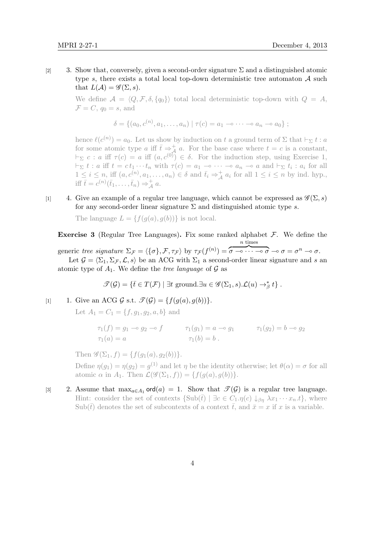[2] 3. Show that, conversely, given a second-order signature  $\Sigma$  and a distinguished atomic type s, there exists a total local top-down deterministic tree automaton  $A$  such that  $L(\mathcal{A}) = \mathscr{G}(\Sigma, s)$ .

> We define  $A = \langle Q, \mathcal{F}, \delta, \{q_0\}\rangle$  total local deterministic top-down with  $Q = A$ ,  $\mathcal{F} = C, q_0 = s$ , and

$$
\delta = \{ (a_0, c^{(n)}, a_1, \dots, a_n) \mid \tau(c) = a_1 \to \cdots \to a_n \to a_0 \};
$$

hence  $\ell(c^{(n)}) = a_0$ . Let us show by induction on t a ground term of  $\Sigma$  that  $\vdash_{\Sigma} t : a$ for some atomic type a iff  $\bar{t} \geq \frac{1}{\sqrt{4}} a$ . For the base case where  $t = c$  is a constant,  $\vdash_{\Sigma} c : a \text{ iff } \tau(c) = a \text{ iff } (a, c^{(0)}) \in \delta.$  For the induction step, using Exercise 1,  $\vdash_{\Sigma} t : a \text{ iff } t = ct_1 \cdots t_n \text{ with } \tau(c) = a_1 \multimap \cdots \multimap a_n \multimap a \text{ and } \vdash_{\Sigma} t_i : a_i \text{ for all }$  $1 \leq i \leq n$ , iff  $(a, c^{(n)}, a_1, \ldots, a_n) \in \delta$  and  $\bar{t}_i \Rightarrow_{\mathcal{A}}^{\dagger} a_i$  for all  $1 \leq i \leq n$  by ind. hyp. iff  $\bar{t} = c^{(n)}(\bar{t}_1, \ldots, \bar{t}_n) \Rightarrow^+_{\mathcal{A}} a$ .

[1] 4. Give an example of a regular tree language, which cannot be expressed as  $\mathscr{G}(\Sigma, s)$ for any second-order linear signature  $\Sigma$  and distinguished atomic type s.

The language  $L = \{f(g(a), g(b))\}$  is not local.

**Exercise 3** (Regular Tree Languages). Fix some ranked alphabet  $\mathcal{F}$ . We define the generic tree signature  $\Sigma_{\mathcal{F}} = \langle {\{\sigma\}, \mathcal{F}, \tau_{\mathcal{F}} \rangle}$  by  $\tau_{\mathcal{F}}(f^{(n)}) = \sigma \longrightarrow \infty$   $\sigma \longrightarrow \sigma = \sigma^n \longrightarrow \sigma$ . n times Let  $\mathcal{G} = \langle \Sigma_1, \Sigma_{\mathcal{F}}, \mathcal{L}, s \rangle$  be an ACG with  $\Sigma_1$  a second-order linear signature and s and atomic type of  $A_1$ . We define the *tree language* of  $\mathcal G$  as

$$
\mathscr{T}(\mathcal{G}) = \{ \bar{t} \in T(\mathcal{F}) \mid \exists t \text{ ground.} \exists u \in \mathscr{G}(\Sigma_1, s) . \mathcal{L}(u) \to_{\beta}^* t \} .
$$

[1] 1. Give an ACG  $\mathcal{G}$  s.t.  $\mathcal{I}(\mathcal{G}) = \{f(g(a), g(b))\}.$ 

Let  $A_1 = C_1 = \{f, g_1, g_2, a, b\}$  and

$$
\tau_1(f) = g_1 \to g_2 \to f \qquad \tau_1(g_1) = a \to g_1 \qquad \tau_1(g_2) = b \to g_2
$$
  

$$
\tau_1(a) = a \qquad \tau_1(b) = b.
$$

Then  $\mathscr{G}(\Sigma_1, f) = \{f(q_1(a), q_2(b))\}.$ 

Define  $\eta(g_1) = \eta(g_2) = g^{(1)}$  and let  $\eta$  be the identity otherwise; let  $\theta(\alpha) = \sigma$  for all atomic  $\alpha$  in  $A_1$ . Then  $\mathcal{L}(\mathscr{G}(\Sigma_1, f)) = \{f(g(a), g(b))\}.$ 

[3] 2. Assume that  $\max_{a \in A_1} \text{ord}(a) = 1$ . Show that  $\mathcal{T}(\mathcal{G})$  is a regular tree language. Hint: consider the set of contexts  $\{\text{Sub}(\bar{t}) \mid \exists c \in C_1.\eta(c) \downarrow_{\beta\eta} \lambda x_1 \cdots x_n.t\},\$  where Sub( $\bar{t}$ ) denotes the set of subcontexts of a context  $\bar{t}$ , and  $\bar{x} = x$  if x is a variable.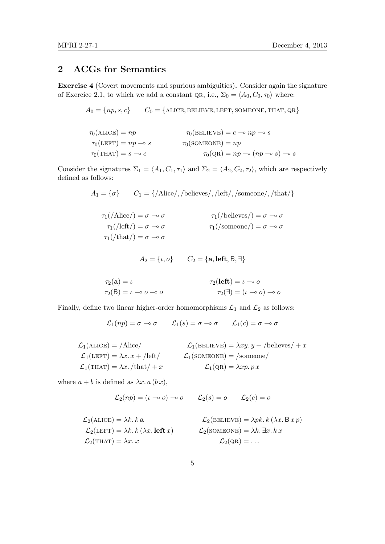# 2 ACGs for Semantics

Exercise 4 (Covert movements and spurious ambiguities). Consider again the signature of Exercice 2.1, to which we add a constant QR, i.e.,  $\Sigma_0 = \langle A_0, C_0, \tau_0 \rangle$  where:

$$
A_0 = \{ np, s, c \} \qquad C_0 = \{ \text{ALICE}, \text{BELIEVE}, \text{LEFT}, \text{SOMEONE}, \text{THAT}, \text{QR} \}
$$

$$
\tau_0(\text{ALICE}) = np \qquad \tau_0(\text{BELIEVE}) = c \to np \to s
$$
  

$$
\tau_0(\text{LEFT}) = np \to s \qquad \tau_0(\text{SOMEONE}) = np
$$
  

$$
\tau_0(\text{THAT}) = s \to c \qquad \tau_0(\text{QR}) = np \to (np \to s) \to s
$$

Consider the signatures  $\Sigma_1 = \langle A_1, C_1, \tau_1 \rangle$  and  $\Sigma_2 = \langle A_2, C_2, \tau_2 \rangle$ , which are respectively defined as follows:

$$
A_1 = \{ \sigma \} \qquad C_1 = \{ / \text{Alice} /, / \text{believes} /, / \text{left} /, / \text{somcone} /, / \text{that} / \}
$$

$$
\tau_1(\text{/Alice/}) = \sigma \multimap \sigma
$$
  
\n
$$
\tau_1(\text{/left/}) = \sigma \multimap \sigma
$$
  
\n
$$
\tau_1(\text{/left/}) = \sigma \multimap \sigma
$$
  
\n
$$
\tau_1(\text{/sameone/}) = \sigma \multimap \sigma
$$
  
\n
$$
\tau_1(\text{/time/}) = \sigma \multimap \sigma
$$

$$
A_2 = \{\iota, o\} \qquad C_2 = \{\mathbf{a}, \mathbf{left}, \mathbf{B}, \exists\}
$$

$$
\tau_2(\mathbf{a}) = \iota
$$
  
\n
$$
\tau_2(\mathbf{b}) = \iota \to o \to o
$$
  
\n
$$
\tau_2(\mathbf{left}) = \iota \to o
$$
  
\n
$$
\tau_2(\exists) = (\iota \to o) \to o
$$

Finally, define two linear higher-order homomorphisms  $\mathcal{L}_1$  and  $\mathcal{L}_2$  as follows:

$$
\mathcal{L}_1(np) = \sigma \multimap \sigma \qquad \mathcal{L}_1(s) = \sigma \multimap \sigma \qquad \mathcal{L}_1(c) = \sigma \multimap \sigma
$$

$$
\mathcal{L}_1(\text{ALICE}) = / \text{Alice} / \qquad \qquad \mathcal{L}_1(\text{BELIEVE}) = \lambda xy. y + / \text{believes} / + x
$$
\n
$$
\mathcal{L}_1(\text{LEFT}) = \lambda x. x + / \text{left} / \qquad \qquad \mathcal{L}_1(\text{SOMEONE}) = / \text{some} / \qquad
$$
\n
$$
\mathcal{L}_1(\text{THAT}) = \lambda x. / \text{that} / + x \qquad \qquad \mathcal{L}_1(\text{QR}) = \lambda xp. px
$$

where  $a + b$  is defined as  $\lambda x \cdot a$   $(b x)$ ,

$$
\mathcal{L}_2(np) = (\iota \multimap o) \multimap o \qquad \mathcal{L}_2(s) = o \qquad \mathcal{L}_2(c) = o
$$

$$
\mathcal{L}_2(\text{ALICE}) = \lambda k. k \mathbf{a}
$$
\n
$$
\mathcal{L}_2(\text{BELIEVE}) = \lambda pk. k (\lambda x. B x p)
$$
\n
$$
\mathcal{L}_2(\text{LEFT}) = \lambda k. k (\lambda x. \text{ left } x)
$$
\n
$$
\mathcal{L}_2(\text{SOMEONE}) = \lambda k. \exists x. k x
$$
\n
$$
\mathcal{L}_2(\text{CHAT}) = \lambda x. x
$$
\n
$$
\mathcal{L}_2(\text{QR}) = \dots
$$